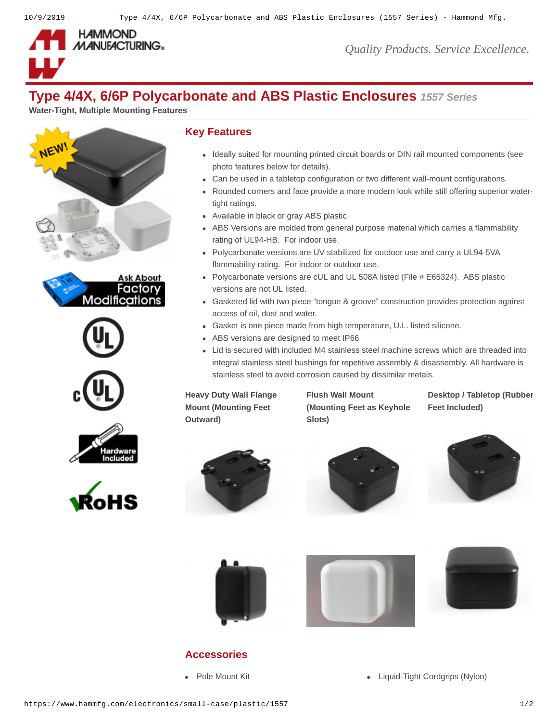

*Quality Products. Service Excellence.*

# **Type 4/4X, 6/6P Polycarbonate and ABS Plastic Enclosures** *1557 Series*

**Water-Tight, Multiple Mounting Features**













#### **Key Features**

- Ideally suited for mounting printed circuit boards or DIN rail mounted components (see photo features below for details).
- Can be used in a tabletop configuration or two different wall-mount configurations.
- Rounded corners and face provide a more modern look while still offering superior watertight ratings.
- Available in black or gray ABS plastic
- ABS Versions are molded from general purpose material which carries a flammability rating of UL94-HB. For indoor use.
- Polycarbonate versions are UV stabilized for outdoor use and carry a UL94-5VA flammability rating. For indoor or outdoor use.
- Polycarbonate versions are cUL and UL 508A listed (File # E65324). ABS plastic versions are not UL listed.
- Gasketed lid with two piece "tongue & groove" construction provides protection against access of oil, dust and water.
- Gasket is one piece made from high temperature, U.L. listed silicone.
- ABS versions are designed to meet IP66
- Lid is secured with included M4 stainless steel machine screws which are threaded into integral stainless steel bushings for repetitive assembly & disassembly. All hardware is stainless steel to avoid corrosion caused by dissimilar metals.

**Heavy Duty Wall Flange Mount (Mounting Feet Outward)**

**Flush Wall Mount (Mounting Feet as Keyhole Slots)**

**Desktop / Tabletop (Rubber Feet Included)**













## **Accessories**

- 
- [Pole Mount Kit](https://www.hammfg.com/electronics/small-case/accessories/pmb?referer=1460) **[Liquid-Tight Cordgrips \(Nylon\)](https://www.hammfg.com/electronics/small-case/accessories/1427ncg?referer=1460)**